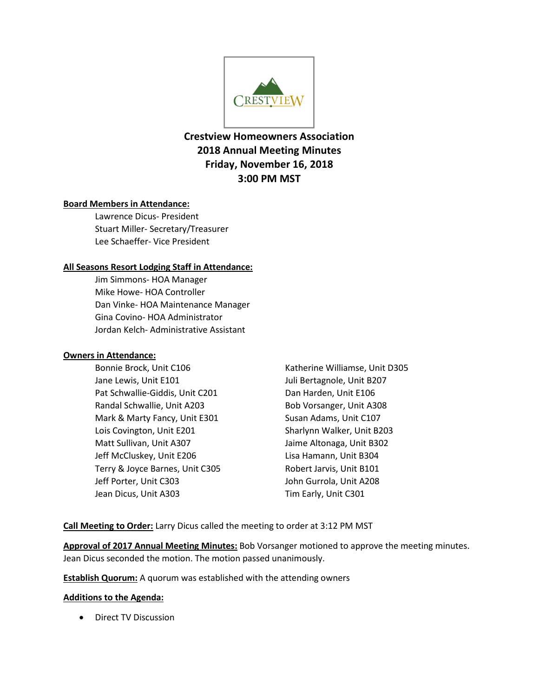

# **Crestview Homeowners Association 2018 Annual Meeting Minutes Friday, November 16, 2018 3:00 PM MST**

# **Board Members in Attendance:**

Lawrence Dicus- President Stuart Miller- Secretary/Treasurer Lee Schaeffer- Vice President

# **All Seasons Resort Lodging Staff in Attendance:**

Jim Simmons- HOA Manager Mike Howe- HOA Controller Dan Vinke- HOA Maintenance Manager Gina Covino- HOA Administrator Jordan Kelch- Administrative Assistant

## **Owners in Attendance:**

Bonnie Brock, Unit C106 Jane Lewis, Unit E101 Pat Schwallie-Giddis, Unit C201 Randal Schwallie, Unit A203 Mark & Marty Fancy, Unit E301 Lois Covington, Unit E201 Matt Sullivan, Unit A307 Jeff McCluskey, Unit E206 Terry & Joyce Barnes, Unit C305 Jeff Porter, Unit C303 Jean Dicus, Unit A303

Katherine Williamse, Unit D305 Juli Bertagnole, Unit B207 Dan Harden, Unit E106 Bob Vorsanger, Unit A308 Susan Adams, Unit C107 Sharlynn Walker, Unit B203 Jaime Altonaga, Unit B302 Lisa Hamann, Unit B304 Robert Jarvis, Unit B101 John Gurrola, Unit A208 Tim Early, Unit C301

**Call Meeting to Order:** Larry Dicus called the meeting to order at 3:12 PM MST

**Approval of 2017 Annual Meeting Minutes:** Bob Vorsanger motioned to approve the meeting minutes. Jean Dicus seconded the motion. The motion passed unanimously.

**Establish Quorum:** A quorum was established with the attending owners

## **Additions to the Agenda:**

• Direct TV Discussion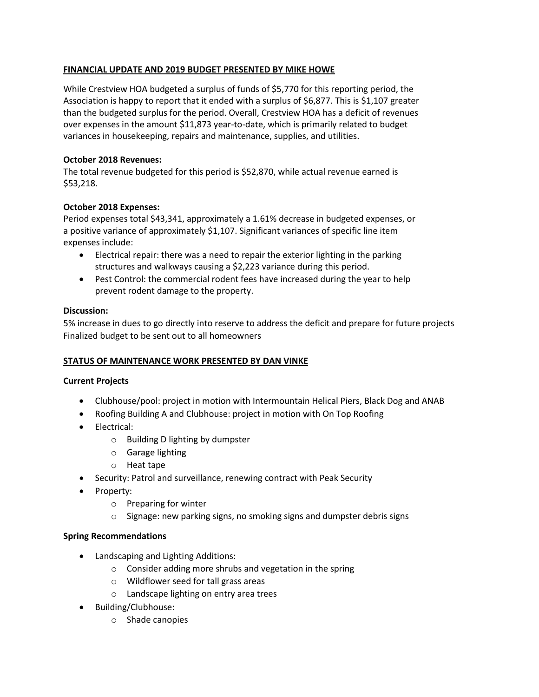# **FINANCIAL UPDATE AND 2019 BUDGET PRESENTED BY MIKE HOWE**

While Crestview HOA budgeted a surplus of funds of \$5,770 for this reporting period, the Association is happy to report that it ended with a surplus of \$6,877. This is \$1,107 greater than the budgeted surplus for the period. Overall, Crestview HOA has a deficit of revenues over expenses in the amount \$11,873 year-to-date, which is primarily related to budget variances in housekeeping, repairs and maintenance, supplies, and utilities.

# **October 2018 Revenues:**

The total revenue budgeted for this period is \$52,870, while actual revenue earned is \$53,218.

# **October 2018 Expenses:**

Period expenses total \$43,341, approximately a 1.61% decrease in budgeted expenses, or a positive variance of approximately \$1,107. Significant variances of specific line item expenses include:

- Electrical repair: there was a need to repair the exterior lighting in the parking structures and walkways causing a \$2,223 variance during this period.
- Pest Control: the commercial rodent fees have increased during the year to help prevent rodent damage to the property.

# **Discussion:**

5% increase in dues to go directly into reserve to address the deficit and prepare for future projects Finalized budget to be sent out to all homeowners

## **STATUS OF MAINTENANCE WORK PRESENTED BY DAN VINKE**

## **Current Projects**

- Clubhouse/pool: project in motion with Intermountain Helical Piers, Black Dog and ANAB
- Roofing Building A and Clubhouse: project in motion with On Top Roofing
- Electrical:
	- o Building D lighting by dumpster
	- o Garage lighting
	- o Heat tape
- Security: Patrol and surveillance, renewing contract with Peak Security
- Property:
	- o Preparing for winter
	- o Signage: new parking signs, no smoking signs and dumpster debris signs

## **Spring Recommendations**

- Landscaping and Lighting Additions:
	- o Consider adding more shrubs and vegetation in the spring
	- o Wildflower seed for tall grass areas
	- o Landscape lighting on entry area trees
- Building/Clubhouse:
	- o Shade canopies